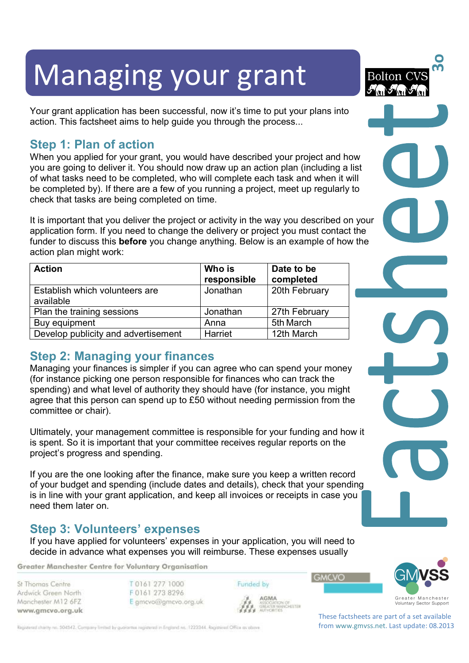# Managing your grant

Your grant application has been successful, now it's time to put your plans into action. This factsheet aims to help guide you through the process...

# **Step 1: Plan of action**

When you applied for your grant, you would have described your project and how you are going to deliver it. You should now draw up an action plan (including a list of what tasks need to be completed, who will complete each task and when it will be completed by). If there are a few of you running a project, meet up regularly to check that tasks are being completed on time.

It is important that you deliver the project or activity in the way you described on your application form. If you need to change the delivery or project you must contact the funder to discuss this **before** you change anything. Below is an example of how the action plan might work:

| <b>Action</b>                               | Who is<br>responsible | Date to be<br>completed |
|---------------------------------------------|-----------------------|-------------------------|
| Establish which volunteers are<br>available | Jonathan              | 20th February           |
| Plan the training sessions                  | Jonathan              | 27th February           |
| Buy equipment                               | Anna                  | 5th March               |
| Develop publicity and advertisement         | Harriet               | 12th March              |

# **Step 2: Managing your finances**

Managing your finances is simpler if you can agree who can spend your money (for instance picking one person responsible for finances who can track the spending) and what level of authority they should have (for instance, you might agree that this person can spend up to £50 without needing permission from the committee or chair).

Ultimately, your management committee is responsible for your funding and how it is spent. So it is important that your committee receives regular reports on the project's progress and spending.

If you are the one looking after the finance, make sure you keep a written record of your budget and spending (include dates and details), check that your spending is in line with your grant application, and keep all invoices or receipts in case you need them later on.

## **Step 3: Volunteers' expenses**

If you have applied for volunteers' expenses in your application, you will need to decide in advance what expenses you will reimburse. These expenses usually

Greater Manchester Centre for Voluntary Organisation

St Thomas Centre Ardwick Green North Manchester M12 6FZ www.gmcvo.org.uk T0161 277 1000 F0161 273 8296 E gmcvo@gmcvo.org.uk Funded by

GREATER MANCHESTER

**GMCVO** 



**3o**

**Bolton** 

These factsheets are part of a set available from www.gmvss.net. Last update: 08.2013

Registered charity no. 504542. Company limited by guarantee registered in England no. 1223344. Registered Office as obove